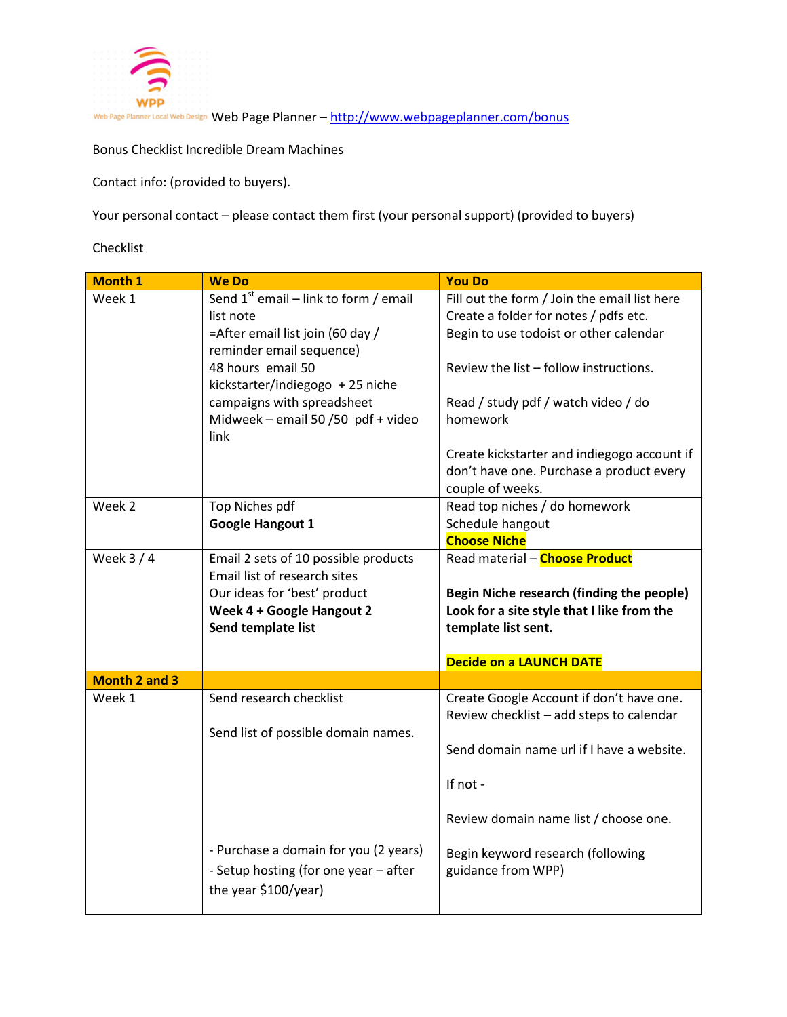

Bonus Checklist Incredible Dream Machines

Contact info: (provided to buyers).

Your personal contact – please contact them first (your personal support) (provided to buyers)

Checklist

| <b>Month 1</b>       | <b>We Do</b>                               | <b>You Do</b>                                |
|----------------------|--------------------------------------------|----------------------------------------------|
| Week 1               | Send $1^{st}$ email – link to form / email | Fill out the form / Join the email list here |
|                      | list note                                  | Create a folder for notes / pdfs etc.        |
|                      | =After email list join (60 day /           | Begin to use todoist or other calendar       |
|                      | reminder email sequence)                   |                                              |
|                      | 48 hours email 50                          | Review the list - follow instructions.       |
|                      | kickstarter/indiegogo + 25 niche           |                                              |
|                      | campaigns with spreadsheet                 | Read / study pdf / watch video / do          |
|                      | Midweek - email 50 / 50 pdf + video        | homework                                     |
|                      | link                                       |                                              |
|                      |                                            | Create kickstarter and indiegogo account if  |
|                      |                                            | don't have one. Purchase a product every     |
|                      |                                            | couple of weeks.                             |
| Week 2               | Top Niches pdf                             | Read top niches / do homework                |
|                      | <b>Google Hangout 1</b>                    | Schedule hangout                             |
|                      |                                            | <b>Choose Niche</b>                          |
| Week $3/4$           | Email 2 sets of 10 possible products       | Read material - Choose Product               |
|                      | Email list of research sites               |                                              |
|                      | Our ideas for 'best' product               | Begin Niche research (finding the people)    |
|                      | Week 4 + Google Hangout 2                  | Look for a site style that I like from the   |
|                      | Send template list                         | template list sent.                          |
|                      |                                            |                                              |
|                      |                                            | <b>Decide on a LAUNCH DATE</b>               |
| <b>Month 2 and 3</b> |                                            |                                              |
| Week 1               | Send research checklist                    | Create Google Account if don't have one.     |
|                      |                                            | Review checklist - add steps to calendar     |
|                      | Send list of possible domain names.        |                                              |
|                      |                                            | Send domain name url if I have a website.    |
|                      |                                            |                                              |
|                      |                                            | If not -                                     |
|                      |                                            | Review domain name list / choose one.        |
|                      |                                            |                                              |
|                      | - Purchase a domain for you (2 years)      | Begin keyword research (following            |
|                      | - Setup hosting (for one year - after      | guidance from WPP)                           |
|                      | the year \$100/year)                       |                                              |
|                      |                                            |                                              |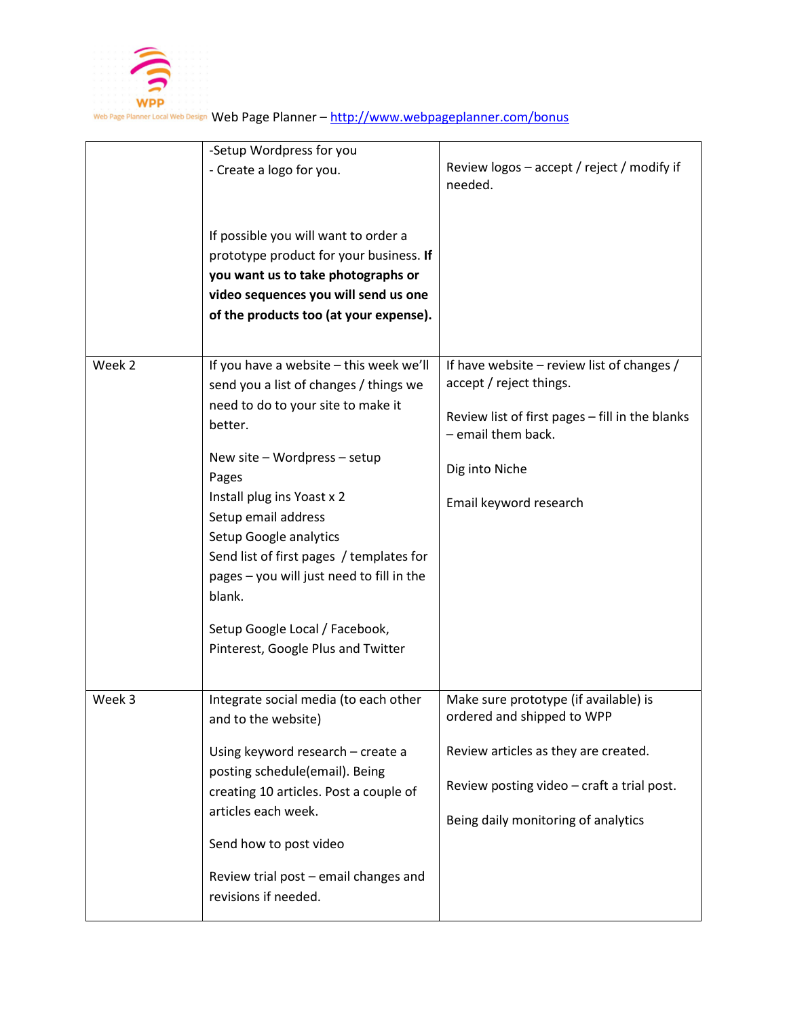

|        | -Setup Wordpress for you<br>- Create a logo for you.<br>If possible you will want to order a<br>prototype product for your business. If<br>you want us to take photographs or<br>video sequences you will send us one<br>of the products too (at your expense).                                                                                                                                                                       | Review logos - accept / reject / modify if<br>needed.                                                                                                                                            |
|--------|---------------------------------------------------------------------------------------------------------------------------------------------------------------------------------------------------------------------------------------------------------------------------------------------------------------------------------------------------------------------------------------------------------------------------------------|--------------------------------------------------------------------------------------------------------------------------------------------------------------------------------------------------|
| Week 2 | If you have a website - this week we'll<br>send you a list of changes / things we<br>need to do to your site to make it<br>better.<br>New site - Wordpress - setup<br>Pages<br>Install plug ins Yoast x 2<br>Setup email address<br>Setup Google analytics<br>Send list of first pages / templates for<br>pages - you will just need to fill in the<br>blank.<br>Setup Google Local / Facebook,<br>Pinterest, Google Plus and Twitter | If have website - review list of changes /<br>accept / reject things.<br>Review list of first pages - fill in the blanks<br>- email them back.<br>Dig into Niche<br>Email keyword research       |
| Week 3 | Integrate social media (to each other<br>and to the website)<br>Using keyword research - create a<br>posting schedule(email). Being<br>creating 10 articles. Post a couple of<br>articles each week.<br>Send how to post video<br>Review trial post - email changes and<br>revisions if needed.                                                                                                                                       | Make sure prototype (if available) is<br>ordered and shipped to WPP<br>Review articles as they are created.<br>Review posting video - craft a trial post.<br>Being daily monitoring of analytics |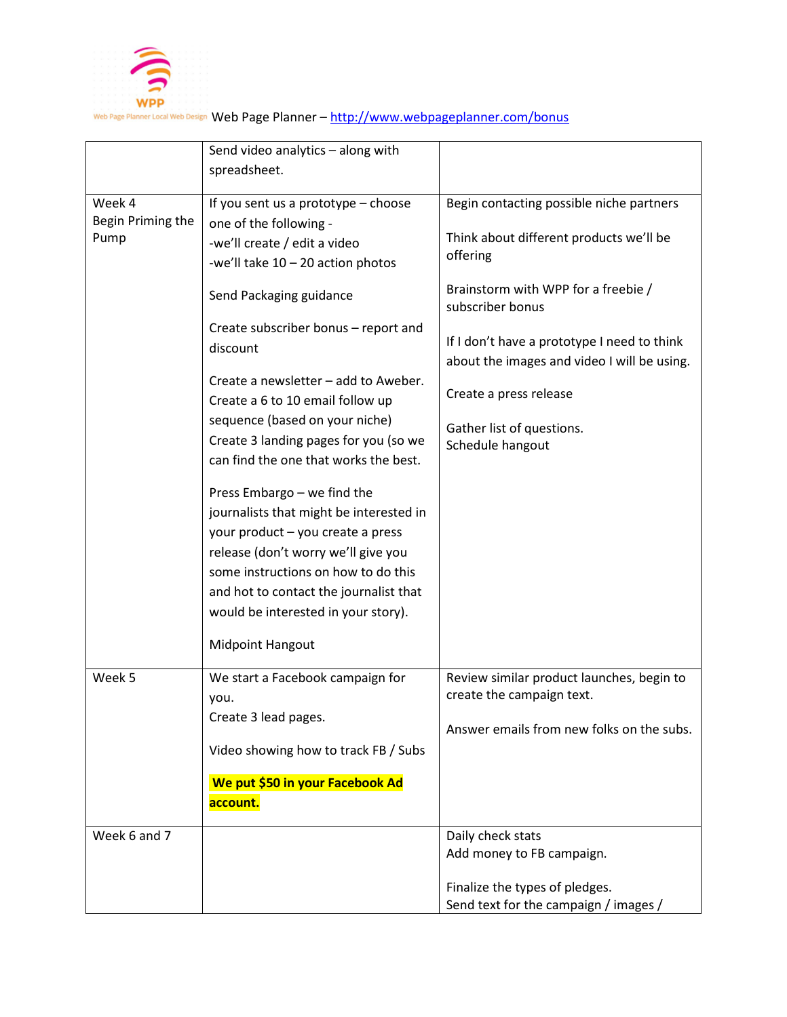

|                             | Send video analytics - along with                                        |                                                         |
|-----------------------------|--------------------------------------------------------------------------|---------------------------------------------------------|
|                             | spreadsheet.                                                             |                                                         |
|                             |                                                                          |                                                         |
| Week 4<br>Begin Priming the | If you sent us a prototype - choose                                      | Begin contacting possible niche partners                |
| Pump                        | one of the following -                                                   | Think about different products we'll be                 |
|                             | -we'll create / edit a video                                             | offering                                                |
|                             | -we'll take $10 - 20$ action photos                                      |                                                         |
|                             | Send Packaging guidance                                                  | Brainstorm with WPP for a freebie /<br>subscriber bonus |
|                             | Create subscriber bonus - report and                                     |                                                         |
|                             | discount                                                                 | If I don't have a prototype I need to think             |
|                             |                                                                          | about the images and video I will be using.             |
|                             | Create a newsletter – add to Aweber.<br>Create a 6 to 10 email follow up | Create a press release                                  |
|                             | sequence (based on your niche)                                           | Gather list of questions.                               |
|                             | Create 3 landing pages for you (so we                                    | Schedule hangout                                        |
|                             | can find the one that works the best.                                    |                                                         |
|                             |                                                                          |                                                         |
|                             | Press Embargo - we find the                                              |                                                         |
|                             | journalists that might be interested in                                  |                                                         |
|                             | your product - you create a press                                        |                                                         |
|                             | release (don't worry we'll give you                                      |                                                         |
|                             | some instructions on how to do this                                      |                                                         |
|                             | and hot to contact the journalist that                                   |                                                         |
|                             | would be interested in your story).                                      |                                                         |
|                             | <b>Midpoint Hangout</b>                                                  |                                                         |
| Week 5                      | We start a Facebook campaign for                                         | Review similar product launches, begin to               |
|                             | you.                                                                     | create the campaign text.                               |
|                             | Create 3 lead pages.                                                     |                                                         |
|                             |                                                                          | Answer emails from new folks on the subs.               |
|                             | Video showing how to track FB / Subs                                     |                                                         |
|                             | We put \$50 in your Facebook Ad                                          |                                                         |
|                             | account.                                                                 |                                                         |
| Week 6 and 7                |                                                                          | Daily check stats                                       |
|                             |                                                                          | Add money to FB campaign.                               |
|                             |                                                                          |                                                         |
|                             |                                                                          | Finalize the types of pledges.                          |
|                             |                                                                          | Send text for the campaign / images /                   |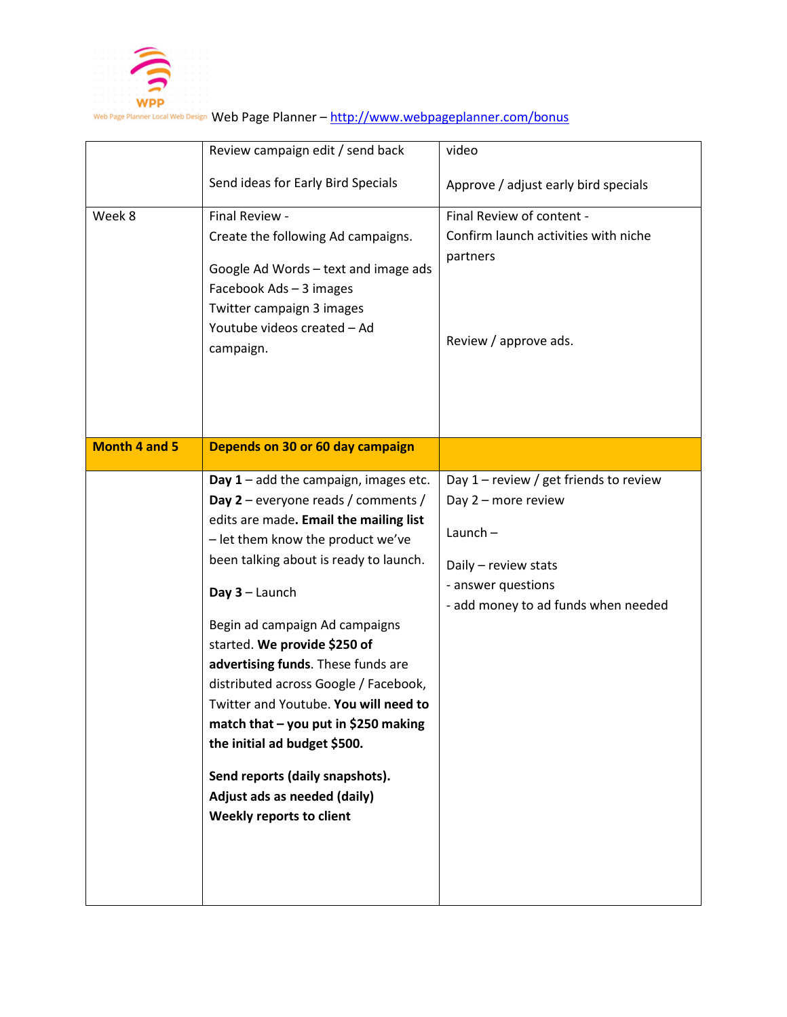

|                      | Review campaign edit / send back                                                                                                                                                                                                                                                                                                                                                                                                                                                                                                                                                                 | video                                                                                                                                                              |
|----------------------|--------------------------------------------------------------------------------------------------------------------------------------------------------------------------------------------------------------------------------------------------------------------------------------------------------------------------------------------------------------------------------------------------------------------------------------------------------------------------------------------------------------------------------------------------------------------------------------------------|--------------------------------------------------------------------------------------------------------------------------------------------------------------------|
|                      | Send ideas for Early Bird Specials                                                                                                                                                                                                                                                                                                                                                                                                                                                                                                                                                               | Approve / adjust early bird specials                                                                                                                               |
| Week 8               | Final Review -<br>Create the following Ad campaigns.<br>Google Ad Words - text and image ads<br>Facebook Ads - 3 images<br>Twitter campaign 3 images<br>Youtube videos created - Ad<br>campaign.                                                                                                                                                                                                                                                                                                                                                                                                 | Final Review of content -<br>Confirm launch activities with niche<br>partners<br>Review / approve ads.                                                             |
| <b>Month 4 and 5</b> | Depends on 30 or 60 day campaign                                                                                                                                                                                                                                                                                                                                                                                                                                                                                                                                                                 |                                                                                                                                                                    |
|                      | Day $1$ – add the campaign, images etc.<br>Day $2$ – everyone reads / comments /<br>edits are made. Email the mailing list<br>- let them know the product we've<br>been talking about is ready to launch.<br>Day $3$ – Launch<br>Begin ad campaign Ad campaigns<br>started. We provide \$250 of<br>advertising funds. These funds are<br>distributed across Google / Facebook,<br>Twitter and Youtube. You will need to<br>match that $-$ you put in \$250 making<br>the initial ad budget \$500.<br>Send reports (daily snapshots).<br>Adjust ads as needed (daily)<br>Weekly reports to client | Day $1$ – review / get friends to review<br>Day 2 - more review<br>Launch $-$<br>Daily - review stats<br>- answer questions<br>- add money to ad funds when needed |